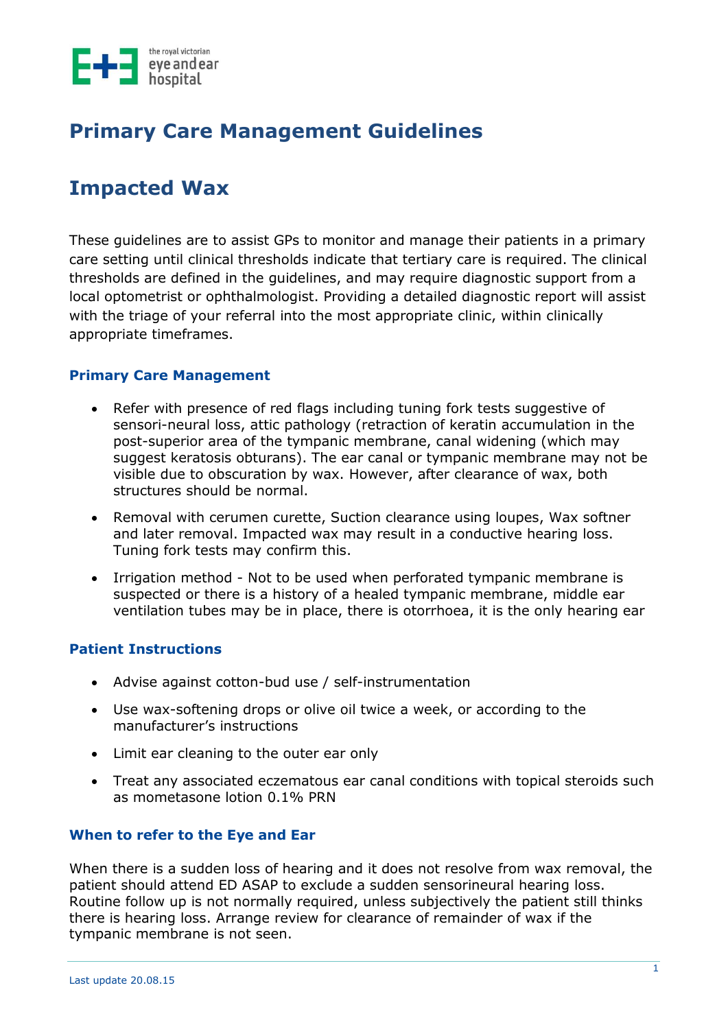

## **Primary Care Management Guidelines**

# **Impacted Wax**

These guidelines are to assist GPs to monitor and manage their patients in a primary care setting until clinical thresholds indicate that tertiary care is required. The clinical thresholds are defined in the guidelines, and may require diagnostic support from a local optometrist or ophthalmologist. Providing a detailed diagnostic report will assist with the triage of your referral into the most appropriate clinic, within clinically appropriate timeframes.

#### **Primary Care Management**

- Refer with presence of red flags including tuning fork tests suggestive of sensori-neural loss, attic pathology (retraction of keratin accumulation in the post-superior area of the tympanic membrane, canal widening (which may suggest keratosis obturans). The ear canal or tympanic membrane may not be visible due to obscuration by wax. However, after clearance of wax, both structures should be normal.
- Removal with cerumen curette, Suction clearance using loupes, Wax softner and later removal. Impacted wax may result in a conductive hearing loss. Tuning fork tests may confirm this.
- Irrigation method Not to be used when perforated tympanic membrane is suspected or there is a history of a healed tympanic membrane, middle ear ventilation tubes may be in place, there is otorrhoea, it is the only hearing ear

#### **Patient Instructions**

- Advise against cotton-bud use / self-instrumentation
- Use wax-softening drops or olive oil twice a week, or according to the manufacturer's instructions
- Limit ear cleaning to the outer ear only
- Treat any associated eczematous ear canal conditions with topical steroids such as mometasone lotion 0.1% PRN

#### **When to refer to the Eye and Ear**

When there is a sudden loss of hearing and it does not resolve from wax removal, the patient should attend ED ASAP to exclude a sudden sensorineural hearing loss. Routine follow up is not normally required, unless subjectively the patient still thinks there is hearing loss. Arrange review for clearance of remainder of wax if the tympanic membrane is not seen.